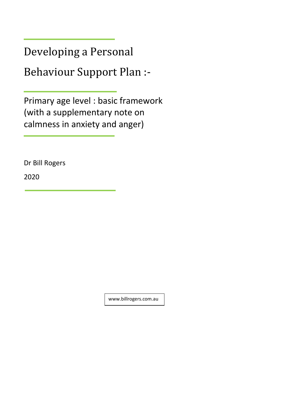Developing a Personal

Behaviour Support Plan :-

Primary age level : basic framework (with a supplementary note on calmness in anxiety and anger)

Dr Bill Rogers

2020

www.billrogers.com.au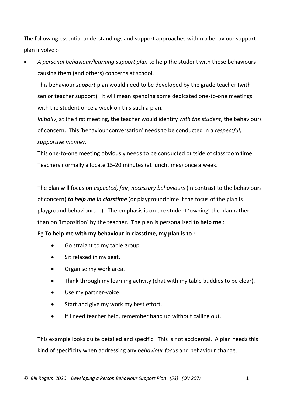The following essential understandings and support approaches within a behaviour support plan involve :-

• *A personal behaviour/learning support plan* to help the student with those behaviours causing them (and others) concerns at school.

This behaviour *support* plan would need to be developed by the grade teacher (with senior teacher support). It will mean spending some dedicated one-to-one meetings with the student once a week on this such a plan.

*Initially*, at the first meeting, the teacher would identify *with the student*, the behaviours of concern. This 'behaviour conversation' needs to be conducted in a *respectful, supportive manner.*

This one-to-one meeting obviously needs to be conducted outside of classroom time. Teachers normally allocate 15-20 minutes (at lunchtimes) once a week.

The plan will focus on *expected, fair, necessary behaviours* (in contrast to the behaviours of concern) *to help me in classtime* (or playground time if the focus of the plan is playground behaviours …). The emphasis is on the student 'owning' the plan rather than on 'imposition' by the teacher. The plan is personalised **to help me** :

Eg **To help me with my behaviour in classtime, my plan is to :-**

- Go straight to my table group.
- Sit relaxed in my seat.
- Organise my work area.
- Think through my learning activity (chat with my table buddies to be clear).
- Use my partner-voice.
- Start and give my work my best effort.
- If I need teacher help, remember hand up without calling out.

This example looks quite detailed and specific. This is not accidental. A plan needs this kind of specificity when addressing any *behaviour focus* and behaviour change.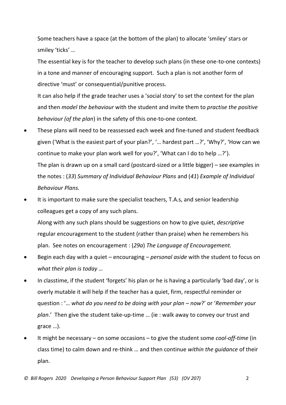Some teachers have a space (at the bottom of the plan) to allocate 'smiley' stars or smiley 'ticks' …

The essential key is for the teacher to develop such plans (in these one-to-one contexts) in a tone and manner of encouraging support. Such a plan is not another form of directive 'must' or consequential/punitive process.

It can also help if the grade teacher uses a 'social story' to set the context for the plan and then *model the behaviour* with the student and invite them to *practise the positive behaviour (of the plan*) in the safety of this one-to-one context.

- These plans will need to be reassessed each week and fine-tuned and student feedback given ('What is the easiest part of your plan?', '… hardest part …?', 'Why?', 'How can we continue to make your plan work well for you?', 'What can I do to help …?'). The plan is drawn up on a small card (postcard-sized or a little bigger) – see examples in the notes : (*33*) *Summary of Individual Behaviour Plans* and (*41*) *Example of Individual Behaviour Plans.*
- It is important to make sure the specialist teachers, T.A.s, and senior leadership colleagues get a copy of any such plans.

Along with any such plans should be suggestions on how to give quiet, *descriptive* regular encouragement to the student (rather than praise) when he remembers his plan. See notes on encouragement : (*29a*) *The Language of Encouragement.*

- Begin each day with a quiet encouraging *personal aside* with the student to focus on *what their plan is today …*
- In classtime, if the student 'forgets' his plan or he is having a particularly 'bad day', or is overly mutable it will help if the teacher has a quiet, firm, respectful reminder or question : '… *what do you need to be doing with your plan – now*?' or '*Remember your plan*.' Then give the student take-up-time … (ie : walk away to convey our trust and grace …).
- It might be necessary on some occasions to give the student some *cool-off-time* (in class time) to calm down and re-think … and then continue *within the guidance* of their plan.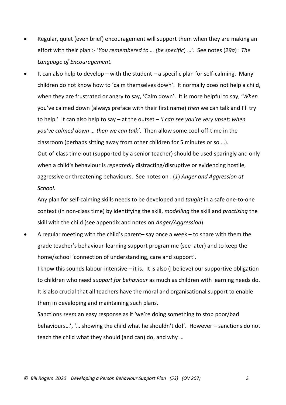- Regular, quiet (even brief) encouragement will support them when they are making an effort with their plan :- '*You remembered to … (be specific*) …'. See notes (*29a*) : *The Language of Encouragement.*
- It can also help to develop with the student a specific plan for self-calming. Many children do not know how to 'calm themselves down'. It normally does not help a child, when they are frustrated or angry to say, 'Calm down'. It is more helpful to say, '*When* you've calmed down (always preface with their first name) *then* we can talk and I'll try to help.' It can also help to say – at the outset – *'I can see you're very upset; when you've calmed down … then we can talk'*. Then allow some cool-off-time in the classroom (perhaps sitting away from other children for 5 minutes or so …). Out-of-class time-out (supported by a senior teacher) should be used sparingly and only when a child's behaviour is *repeatedly* distracting/disruptive or evidencing hostile, aggressive or threatening behaviours. See notes on : (*1*) *Anger and Aggression at School.*

Any plan for self-calming skills needs to be developed and *taught* in a safe one-to-one context (in non-class time) by identifying the skill, *modelling* the skill and *practising* the skill with the child (see appendix and notes on *Anger/Aggression*).

• A regular meeting with the child's parent– say once a week – to share with them the grade teacher's behaviour-learning support programme (see later) and to keep the home/school 'connection of understanding, care and support'.

I know this sounds labour-intensive – it is. It is also (I believe) our supportive obligation to children who need *support for behaviour* as much as children with learning needs do. It is also crucial that all teachers have the moral and organisational support to enable them in developing and maintaining such plans.

Sanctions *seem* an easy response as if 'we're doing something to stop poor/bad behaviours…', '… showing the child what he shouldn't do!'. However – sanctions do not teach the child what they should (and can) do, and why …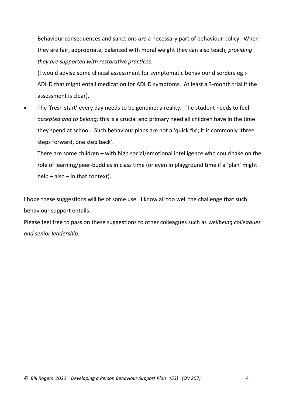Behaviour consequences and sanctions *are* a necessary part of behaviour policy. When they are fair, appropriate, balanced with moral weight they can also teach, *providing they are supported with restorative practices.*

(I would advise some clinical assessment for symptomatic behaviour disorders eg :- ADHD that might entail medication for ADHD symptoms. At least a 3-month trial if the assessment is clear).

The 'fresh start' every day needs to be genuine; a reality. The student needs to feel *accepted and to belong;* this is a crucial and primary need all children have in the time they spend at school. Such behaviour plans are not a 'quick fix'; it is commonly 'three steps forward, one step back'.

There are some children – with high social/emotional intelligence who could take on the role of learning/peer-buddies in class time (or even in playground time if a 'plan' might help – also – in that context).

I hope these suggestions will be of some use. I know all too well the challenge that such behaviour support entails.

Please feel free to pass on these suggestions to other colleagues such as *wellbeing colleagues and senior leadership.*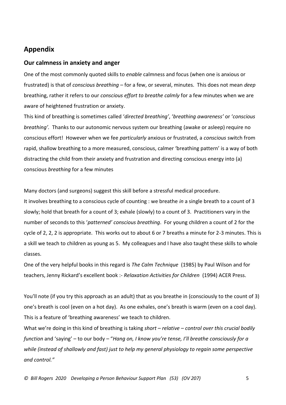## **Appendix**

## **Our calmness in anxiety and anger**

One of the most commonly quoted skills to *enable* calmness and focus (when one is anxious or frustrated) is that of *conscious breathing –* for a few, or several, minutes. This does not mean *deep* breathing, rather it refers to our *conscious effort to breathe calmly* for a few minutes when we are aware of heightened frustration or anxiety.

This kind of breathing is sometimes called '*directed breathing'*, '*breathing awareness'* or '*conscious breathing'.* Thanks to our autonomic nervous system our breathing (awake or asleep) require no conscious effort! However when we fee *particularly* anxious or frustrated, a *conscious* switch from rapid, shallow breathing to a more measured, conscious, calmer 'breathing pattern' is a way of both distracting the child from their anxiety and frustration and directing conscious energy into (a) conscious *breathing* for a few minutes

Many doctors (and surgeons) suggest this skill before a stressful medical procedure. It involves breathing to a conscious cycle of counting : we breathe *in* a single breath to a count of 3 slowly; hold that breath for a count of 3; exhale (slowly) to a count of 3. Practitioners vary in the number of seconds to this '*patterned' conscious breathing*. For young children a count of 2 for the cycle of 2, 2, 2 is appropriate. This works out to about 6 or 7 breaths a minute for 2-3 minutes. This is a skill we teach to children as young as 5. My colleagues and I have also taught these skills to whole classes.

One of the very helpful books in this regard is *The Calm Technique* (1985) by Paul Wilson and for teachers, Jenny Rickard's excellent book :- *Relaxation Activities for Children* (1994) ACER Press.

You'll note (if you try this approach as an adult) that as you breathe in (consciously to the count of 3) one's breath is cool (even on a hot day). As one exhales, one's breath is warm (even on a cool day). This is a feature of 'breathing awareness' we teach to children.

What we're doing in this kind of breathing is taking *short – relative – control over this crucial bodily function* and 'saying' – to our body – "*Hang on, I know you're tense, I'll breathe consciously for a while (instead of shallowly and fast) just to help my general physiology to regain some perspective and control."*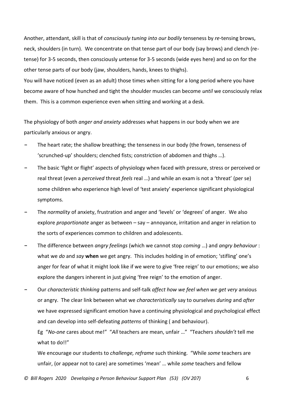Another, attendant, skill is that of *consciously tuning into our bodily* tenseness by *re*-tensing brows, neck, shoulders (in turn). We concentrate on that tense part of our body (say brows) and clench (retense) for 3-5 seconds, then consciously *un*tense for 3-5 seconds (wide eyes here) and so on for the other tense parts of our body (jaw, shoulders, hands, knees to thighs).

You will have noticed (even as an adult) those times when sitting for a long period where you have become aware of how hunched and tight the shoulder muscles can become *until* we consciously relax them. This is a common experience even when sitting and working at a desk.

The physiology of both *anger and anxiety* addresses what happens in our body when we are particularly anxious or angry.

- **-** The heart rate; the shallow breathing; the tenseness in our body (the frown, tenseness of 'scrunched-up' shoulders; clenched fists; constriction of abdomen and thighs …).
- **-** The basic 'fight or flight' aspects of physiology when faced with pressure, stress or perceived or real threat (even a *perceived* threat *feels* real …) and while an exam is not a 'threat' (per se) some children who experience high level of 'test anxiety' experience significant physiological symptoms.
- **-** The *normality* of anxiety, frustration and anger and 'levels' or 'degrees' of anger. We also explore *proportionate* anger as between – say – annoyance, irritation and anger in relation to the sorts of experiences common to children and adolescents.
- **-** The difference between *angry feelings* (which we cannot stop *coming* …) and *angry behaviour* : what we *do* and *say* **when** we get angry. This includes holding in of emotion; 'stifling' one's anger for fear of what it might look like if we were to give 'free reign' to our emotions; we also explore the dangers inherent in just giving 'free reign' to the emotion of anger.
- **-** Our *characteristic thinking* patterns and self-talk *affect how we feel when we get very* anxious or angry. The clear link between what we *characteristically* say to ourselves *during* and *after* we have expressed significant emotion have a continuing physiological and psychological effect and can develop into self-defeating *patterns* of thinking ( and behaviour).

Eg "*No-one* cares about me!" "*All* teachers are mean, unfair …" "Teachers *shouldn't* tell me what to do!!"

We encourage our students to *challenge, reframe* such thinking. "While *some* teachers are unfair, (or appear not to care) are sometimes 'mean' … while *some* teachers and fellow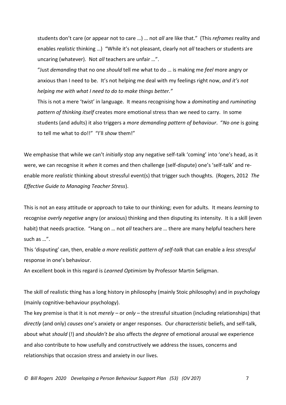students don't care (or appear not to care …) … not *all* are like that." (This *reframes* reality and enables *realistic* thinking …) "While it's not pleasant, clearly not *all* teachers or students are uncaring (whatever). Not *all* teachers are unfair …".

"Just *demanding* that no one *should* tell me what to do … is making me *feel* more angry or anxious than I need to be. It's not helping me deal with my feelings right now, *and it's not helping me with what I need to do to make things better."*

This is not a mere 'twist' in language. It means recognising how a *dominating* and *ruminating pattern of thinking itself* creates more emotional stress than we need to carry. In some students (and adults) it also triggers a *more demanding pattern of behaviour*. "*No one* is going to tell me what to do!!" "I'll *show* them!"

We emphasise that while we can't *initially* stop any negative self-talk 'coming' into 'one's head, as it were, we can recognise it *when* it comes and then challenge (self-dispute) one's 'self-talk' and reenable more *realistic* thinking about stressful event(s) that trigger such thoughts. (Rogers, 2012 *The Effective Guide to Managing Teacher Stress*).

This is not an easy attitude or approach to take to our thinking; even for adults. It means *learning* to recognise *overly negative* angry (or anxious) thinking and then disputing its intensity. It is a skill (even habit) that needs practice. "Hang on … not *all* teachers are … there are many helpful teachers here such as …".

This 'disputing' can, then, enable *a more realistic pattern of self-talk* that can enable a *less stressful* response in one's behaviour.

An excellent book in this regard is *Learned Optimism* by Professor Martin Seligman.

The skill of realistic thing has a long history in philosophy (mainly Stoic philosophy) and in psychology (mainly cognitive-behaviour psychology).

The key premise is that it is not *merely –* or *only* – the stressful situation (including relationships) that *directly* (and only) *causes* one's anxiety or anger responses. Our *characteristic* beliefs, and self-talk, about what *should* (!) and *shouldn't be* also affects the *degree* of emotional arousal we experience and also contribute to how usefully and constructively we address the issues, concerns and relationships that occasion stress and anxiety in our lives.